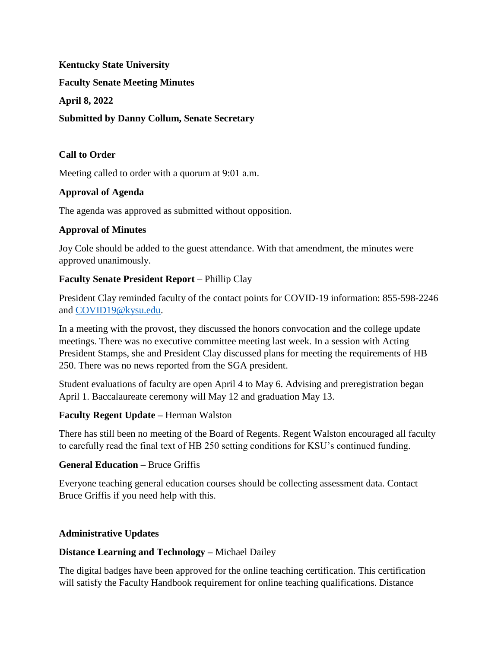**Kentucky State University Faculty Senate Meeting Minutes April 8, 2022 Submitted by Danny Collum, Senate Secretary** 

## **Call to Order**

Meeting called to order with a quorum at 9:01 a.m.

### **Approval of Agenda**

The agenda was approved as submitted without opposition.

### **Approval of Minutes**

Joy Cole should be added to the guest attendance. With that amendment, the minutes were approved unanimously.

### **Faculty Senate President Report** – Phillip Clay

President Clay reminded faculty of the contact points for COVID-19 information: 855-598-2246 and [COVID19@kysu.edu.](mailto:covid19@kysu.edu)

In a meeting with the provost, they discussed the honors convocation and the college update meetings. There was no executive committee meeting last week. In a session with Acting President Stamps, she and President Clay discussed plans for meeting the requirements of HB 250. There was no news reported from the SGA president.

Student evaluations of faculty are open April 4 to May 6. Advising and preregistration began April 1. Baccalaureate ceremony will May 12 and graduation May 13.

### **Faculty Regent Update –** Herman Walston

There has still been no meeting of the Board of Regents. Regent Walston encouraged all faculty to carefully read the final text of HB 250 setting conditions for KSU's continued funding.

### **General Education** – Bruce Griffis

Everyone teaching general education courses should be collecting assessment data. Contact Bruce Griffis if you need help with this.

### **Administrative Updates**

#### **Distance Learning and Technology –** Michael Dailey

The digital badges have been approved for the online teaching certification. This certification will satisfy the Faculty Handbook requirement for online teaching qualifications. Distance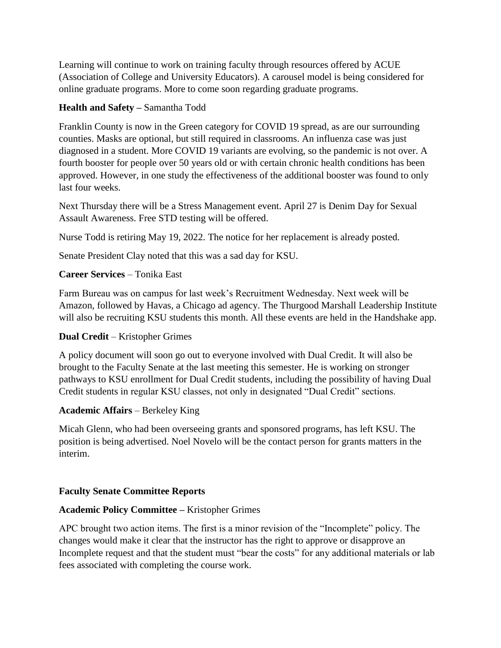Learning will continue to work on training faculty through resources offered by ACUE (Association of College and University Educators). A carousel model is being considered for online graduate programs. More to come soon regarding graduate programs.

## **Health and Safety –** Samantha Todd

Franklin County is now in the Green category for COVID 19 spread, as are our surrounding counties. Masks are optional, but still required in classrooms. An influenza case was just diagnosed in a student. More COVID 19 variants are evolving, so the pandemic is not over. A fourth booster for people over 50 years old or with certain chronic health conditions has been approved. However, in one study the effectiveness of the additional booster was found to only last four weeks.

Next Thursday there will be a Stress Management event. April 27 is Denim Day for Sexual Assault Awareness. Free STD testing will be offered.

Nurse Todd is retiring May 19, 2022. The notice for her replacement is already posted.

Senate President Clay noted that this was a sad day for KSU.

## **Career Services** – Tonika East

Farm Bureau was on campus for last week's Recruitment Wednesday. Next week will be Amazon, followed by Havas, a Chicago ad agency. The Thurgood Marshall Leadership Institute will also be recruiting KSU students this month. All these events are held in the Handshake app.

### **Dual Credit** – Kristopher Grimes

A policy document will soon go out to everyone involved with Dual Credit. It will also be brought to the Faculty Senate at the last meeting this semester. He is working on stronger pathways to KSU enrollment for Dual Credit students, including the possibility of having Dual Credit students in regular KSU classes, not only in designated "Dual Credit" sections.

### **Academic Affairs** – Berkeley King

Micah Glenn, who had been overseeing grants and sponsored programs, has left KSU. The position is being advertised. Noel Novelo will be the contact person for grants matters in the interim.

### **Faculty Senate Committee Reports**

# **Academic Policy Committee –** Kristopher Grimes

APC brought two action items. The first is a minor revision of the "Incomplete" policy. The changes would make it clear that the instructor has the right to approve or disapprove an Incomplete request and that the student must "bear the costs" for any additional materials or lab fees associated with completing the course work.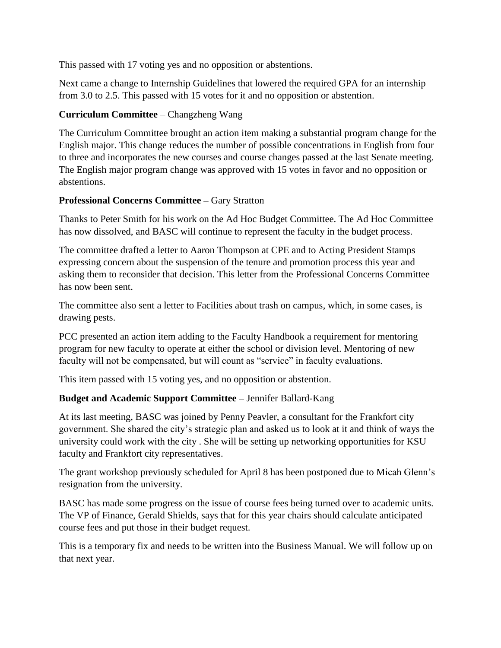This passed with 17 voting yes and no opposition or abstentions.

Next came a change to Internship Guidelines that lowered the required GPA for an internship from 3.0 to 2.5. This passed with 15 votes for it and no opposition or abstention.

# **Curriculum Committee** – Changzheng Wang

The Curriculum Committee brought an action item making a substantial program change for the English major. This change reduces the number of possible concentrations in English from four to three and incorporates the new courses and course changes passed at the last Senate meeting. The English major program change was approved with 15 votes in favor and no opposition or abstentions.

# **Professional Concerns Committee –** Gary Stratton

Thanks to Peter Smith for his work on the Ad Hoc Budget Committee. The Ad Hoc Committee has now dissolved, and BASC will continue to represent the faculty in the budget process.

The committee drafted a letter to Aaron Thompson at CPE and to Acting President Stamps expressing concern about the suspension of the tenure and promotion process this year and asking them to reconsider that decision. This letter from the Professional Concerns Committee has now been sent.

The committee also sent a letter to Facilities about trash on campus, which, in some cases, is drawing pests.

PCC presented an action item adding to the Faculty Handbook a requirement for mentoring program for new faculty to operate at either the school or division level. Mentoring of new faculty will not be compensated, but will count as "service" in faculty evaluations.

This item passed with 15 voting yes, and no opposition or abstention.

# **Budget and Academic Support Committee –** Jennifer Ballard-Kang

At its last meeting, BASC was joined by Penny Peavler, a consultant for the Frankfort city government. She shared the city's strategic plan and asked us to look at it and think of ways the university could work with the city . She will be setting up networking opportunities for KSU faculty and Frankfort city representatives.

The grant workshop previously scheduled for April 8 has been postponed due to Micah Glenn's resignation from the university.

BASC has made some progress on the issue of course fees being turned over to academic units. The VP of Finance, Gerald Shields, says that for this year chairs should calculate anticipated course fees and put those in their budget request.

This is a temporary fix and needs to be written into the Business Manual. We will follow up on that next year.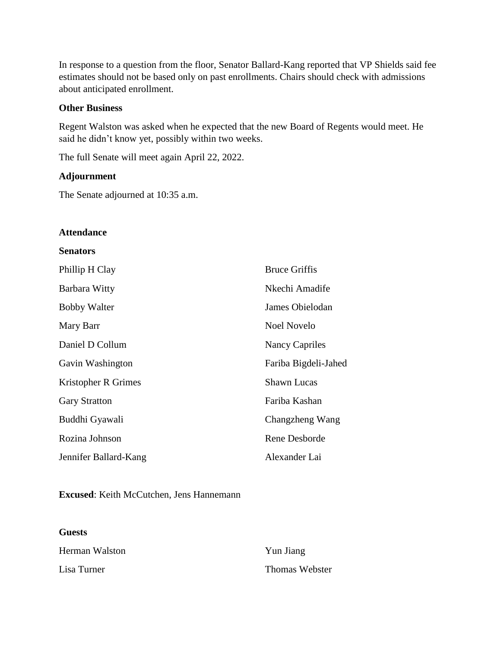In response to a question from the floor, Senator Ballard-Kang reported that VP Shields said fee estimates should not be based only on past enrollments. Chairs should check with admissions about anticipated enrollment.

#### **Other Business**

Regent Walston was asked when he expected that the new Board of Regents would meet. He said he didn't know yet, possibly within two weeks.

The full Senate will meet again April 22, 2022.

#### **Adjournment**

The Senate adjourned at 10:35 a.m.

#### **Attendance**

#### **Senators**

| Phillip H Clay        | <b>Bruce Griffis</b> |
|-----------------------|----------------------|
| Barbara Witty         | Nkechi Amadife       |
| <b>Bobby Walter</b>   | James Obielodan      |
| Mary Barr             | Noel Novelo          |
| Daniel D Collum       | Nancy Capriles       |
| Gavin Washington      | Fariba Bigdeli-Jahed |
| Kristopher R Grimes   | <b>Shawn Lucas</b>   |
| <b>Gary Stratton</b>  | Fariba Kashan        |
| Buddhi Gyawali        | Changzheng Wang      |
| Rozina Johnson        | Rene Desborde        |
| Jennifer Ballard-Kang | Alexander Lai        |

#### **Excused**: Keith McCutchen, Jens Hannemann

#### **Guests**

| Herman Walston | Yun Jiang      |
|----------------|----------------|
| Lisa Turner    | Thomas Webster |